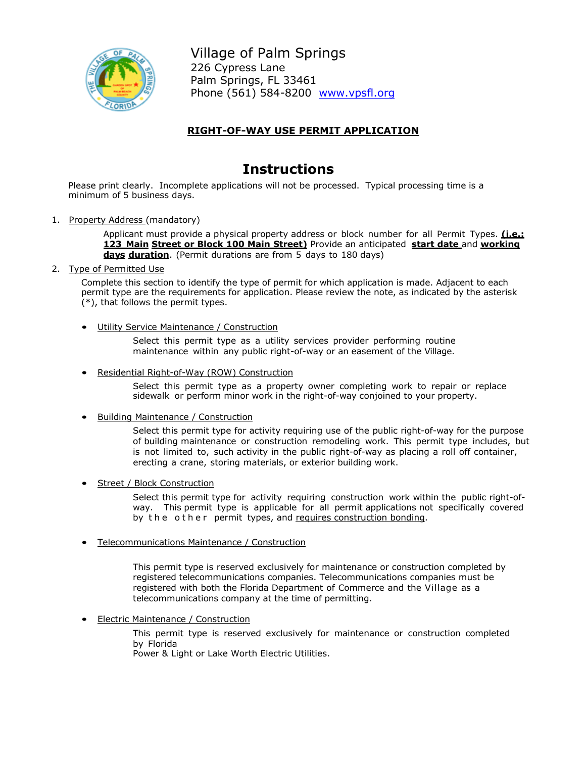

Village of Palm Springs 226 Cypress Lane Palm Springs, FL 33461 Phone (561) 584-8200 [www.vpsfl.org](http://www.villageofpalmsprings.org/)

# **RIGHT-OF-WAY USE PERMIT APPLICATION**

# **Instructions**

Please print clearly. Incomplete applications will not be processed. Typical processing time is a minimum of 5 business days.

1. Property Address (mandatory)

Applicant must provide a physical property address or block number for all Permit Types. **(i.e.: 123 Main Street or Block 100 Main Street)** Provide an anticipated **start date** and **working days duration**. (Permit durations are from 5 days to 180 days)

2. Type of Permitted Use

Complete this section to identify the type of permit for which application is made. Adjacent to each permit type are the requirements for application. Please review the note, as indicated by the asterisk (\*), that follows the permit types.

Utility Service Maintenance / Construction

Select this permit type as a utility services provider performing routine maintenance within any public right-of-way or an easement of the Village.

• Residential Right-of-Way (ROW) Construction

Select this permit type as a property owner completing work to repair or replace sidewalk or perform minor work in the right-of-way conjoined to your property.

• Building Maintenance / Construction

Select this permit type for activity requiring use of the public right-of-way for the purpose of building maintenance or construction remodeling work. This permit type includes, but is not limited to, such activity in the public right-of-way as placing a roll off container, erecting a crane, storing materials, or exterior building work.

**Street / Block Construction** 

Select this permit type for activity requiring construction work within the public right-ofway. This permit type is applicable for all permit applications not specifically covered by the other permit types, and requires construction bonding.

• Telecommunications Maintenance / Construction

This permit type is reserved exclusively for maintenance or construction completed by registered telecommunications companies. Telecommunications companies must be registered with both the Florida Department of Commerce and the Village as a telecommunications company at the time of permitting.

• Electric Maintenance / Construction

This permit type is reserved exclusively for maintenance or construction completed by Florida

Power & Light or Lake Worth Electric Utilities.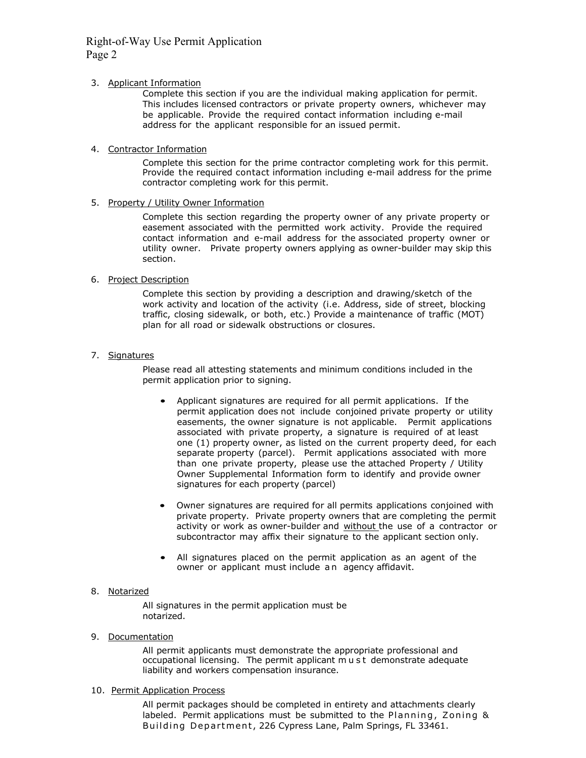### Right-of-Way Use Permit Application Page 2

#### 3. Applicant Information

Complete this section if you are the individual making application for permit. This includes licensed contractors or private property owners, whichever may be applicable. Provide the required contact information including e-mail address for the applicant responsible for an issued permit.

#### 4. Contractor Information

Complete this section for the prime contractor completing work for this permit. Provide the required contact information including e-mail address for the prime contractor completing work for this permit.

#### 5. Property / Utility Owner Information

Complete this section regarding the property owner of any private property or easement associated with the permitted work activity. Provide the required contact information and e-mail address for the associated property owner or utility owner. Private property owners applying as owner-builder may skip this section.

### 6. Project Description

Complete this section by providing a description and drawing/sketch of the work activity and location of the activity (i.e. Address, side of street, blocking traffic, closing sidewalk, or both, etc.) Provide a maintenance of traffic (MOT) plan for all road or sidewalk obstructions or closures.

### 7. Signatures

Please read all attesting statements and minimum conditions included in the permit application prior to signing.

- Applicant signatures are required for all permit applications. If the permit application does not include conjoined private property or utility easements, the owner signature is not applicable. Permit applications associated with private property, a signature is required of at least one (1) property owner, as listed on the current property deed, for each separate property (parcel). Permit applications associated with more than one private property, please use the attached Property / Utility Owner Supplemental Information form to identify and provide owner signatures for each property (parcel)
- Owner signatures are required for all permits applications conjoined with private property. Private property owners that are completing the permit activity or work as owner-builder and without the use of a contractor or subcontractor may affix their signature to the applicant section only.
- All signatures placed on the permit application as an agent of the owner or applicant must include an agency affidavit.

#### 8. Notarized

All signatures in the permit application must be notarized.

9. Documentation

All permit applicants must demonstrate the appropriate professional and occupational licensing. The permit applicant must demonstrate adequate liability and workers compensation insurance.

10. Permit Application Process

All permit packages should be completed in entirety and attachments clearly labeled. Permit applications must be submitted to the Planning, Zoning & Building Department, 226 Cypress Lane, Palm Springs, FL 33461.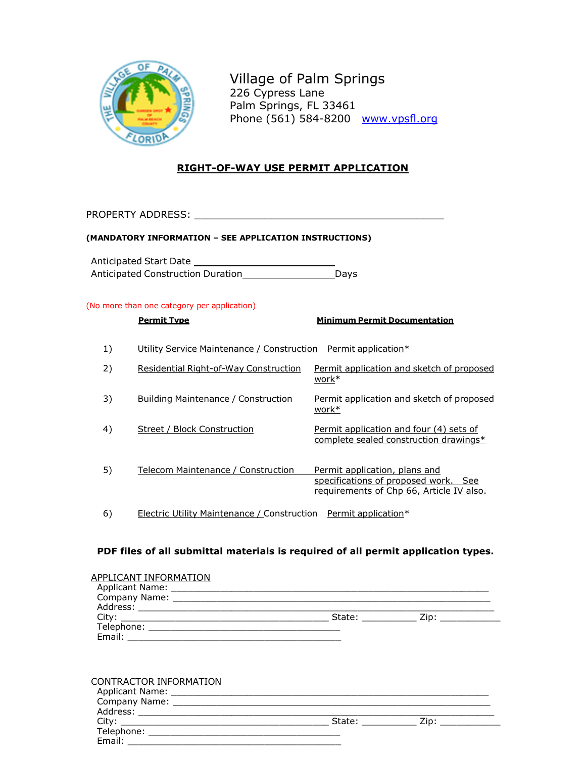

Village of Palm Springs 226 Cypress Lane Palm Springs, FL 33461 Phone (561) 584-8200 www.vpsfl.org

### **RIGHT-OF-WAY USE PERMIT APPLICATION**

PROPERTY ADDRESS: \_\_\_\_\_\_\_\_\_\_\_\_\_\_\_\_\_\_\_\_\_\_\_\_\_\_\_\_\_\_\_\_\_\_\_\_\_\_\_\_\_

### **(MANDATORY INFORMATION – SEE APPLICATION INSTRUCTIONS)**

Anticipated Start Date Anticipated Construction Duration \_\_\_\_\_\_\_\_\_\_\_\_\_\_\_\_\_\_\_ Days

### (No more than one category per application)

|    | <b>Permit Type</b>                                             | <b>Minimum Permit Documentation</b>                                                                               |
|----|----------------------------------------------------------------|-------------------------------------------------------------------------------------------------------------------|
| 1) | Utility Service Maintenance / Construction Permit application* |                                                                                                                   |
| 2) | Residential Right-of-Way Construction                          | Permit application and sketch of proposed<br>work*                                                                |
| 3) | Building Maintenance / Construction                            | Permit application and sketch of proposed<br>work*                                                                |
| 4) | Street / Block Construction                                    | Permit application and four (4) sets of<br>complete sealed construction drawings*                                 |
| 5) | Telecom Maintenance / Construction                             | Permit application, plans and<br>specifications of proposed work. See<br>requirements of Chp 66, Article IV also. |
| 6) | Electric Utility Maintenance / Construction                    | Permit application*                                                                                               |

### **PDF files of all submittal materials is required of all permit application types.**

| APPLICANT INFORMATION |        |      |  |
|-----------------------|--------|------|--|
| Applicant Name:       |        |      |  |
|                       |        |      |  |
| Address:              |        |      |  |
|                       | State: | Zip: |  |
| Telephone:            |        |      |  |
| Email:                |        |      |  |

| CONTRACTOR INFORMATION   |        |      |  |
|--------------------------|--------|------|--|
| Applicant Name:          |        |      |  |
| Company Name: __________ |        |      |  |
| Address:                 |        |      |  |
| City:                    | State: | Zip: |  |
| Telephone:               |        |      |  |
| Email:                   |        |      |  |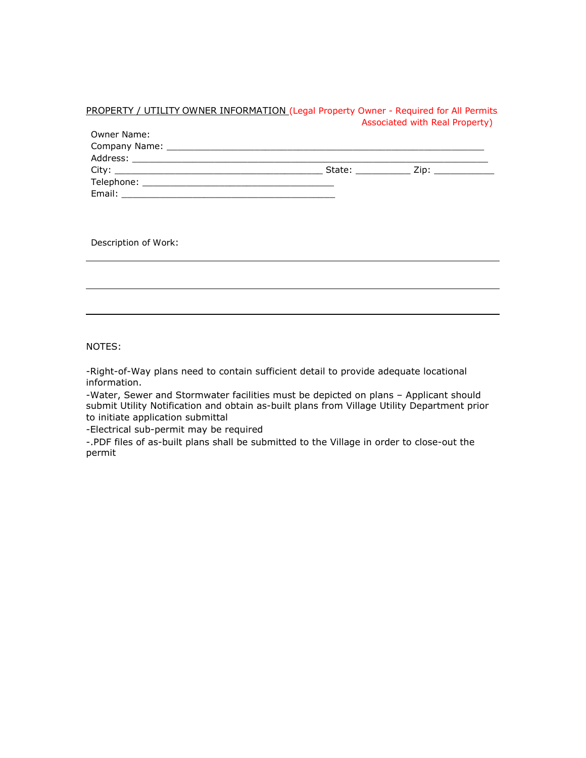### PROPERTY / UTILITY OWNER INFORMATION (Legal Property Owner - Required for All Permits Associated with Real Property)

| Owner Name: |                                                                                                                                                                                                                                |  |
|-------------|--------------------------------------------------------------------------------------------------------------------------------------------------------------------------------------------------------------------------------|--|
|             |                                                                                                                                                                                                                                |  |
|             |                                                                                                                                                                                                                                |  |
|             | Zip: the contract of the contract of the contract of the contract of the contract of the contract of the contract of the contract of the contract of the contract of the contract of the contract of the contract of the contr |  |
|             |                                                                                                                                                                                                                                |  |
| Email:      |                                                                                                                                                                                                                                |  |

Description of Work:

NOTES:

-Right-of-Way plans need to contain sufficient detail to provide adequate locational information.

-Water, Sewer and Stormwater facilities must be depicted on plans – Applicant should submit Utility Notification and obtain as-built plans from Village Utility Department prior to initiate application submittal

-Electrical sub-permit may be required

-.PDF files of as-built plans shall be submitted to the Village in order to close-out the permit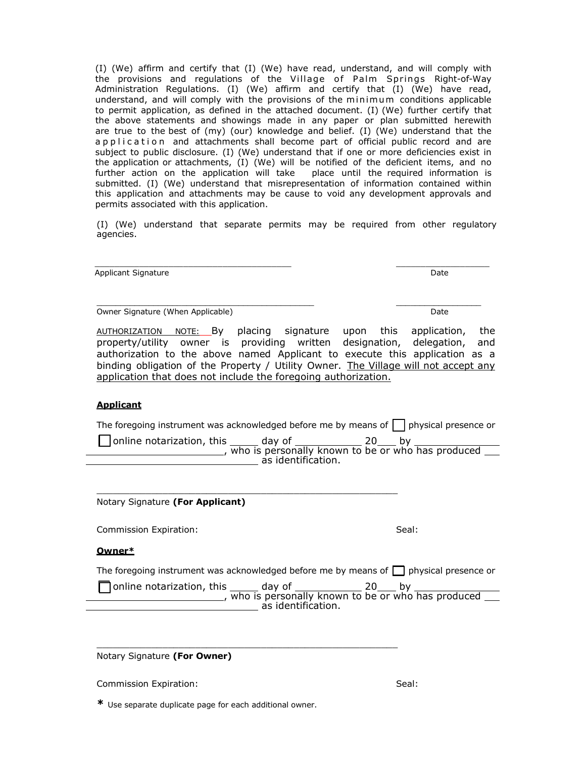(I) (We) affirm and certify that (I) (We) have read, understand, and will comply with the provisions and regulations of the Village of Palm Springs Right-of-Way Administration Regulations. (I) (We) affirm and certify that (I) (We) have read, understand, and will comply with the provisions of the minimum conditions applicable to permit application, as defined in the attached document. (I) (We) further certify that the above statements and showings made in any paper or plan submitted herewith are true to the best of (my) (our) knowledge and belief. (I) (We) understand that the application and attachments shall become part of official public record and are subject to public disclosure. (I) (We) understand that if one or more deficiencies exist in the application or attachments, (I) (We) will be notified of the deficient items, and no further action on the application will take place until the required information is submitted. (I) (We) understand that misrepresentation of information contained within this application and attachments may be cause to void any development approvals and permits associated with this application.

(I) (We) understand that separate permits may be required from other regulatory agencies.

 $\frac{1}{2}$  ,  $\frac{1}{2}$  ,  $\frac{1}{2}$  ,  $\frac{1}{2}$  ,  $\frac{1}{2}$  ,  $\frac{1}{2}$  ,  $\frac{1}{2}$  ,  $\frac{1}{2}$  ,  $\frac{1}{2}$  ,  $\frac{1}{2}$  ,  $\frac{1}{2}$  ,  $\frac{1}{2}$  ,  $\frac{1}{2}$  ,  $\frac{1}{2}$  ,  $\frac{1}{2}$  ,  $\frac{1}{2}$  ,  $\frac{1}{2}$  ,  $\frac{1}{2}$  ,  $\frac{1$ 

Applicant Signature Date Date of the Date of the Date of the Date Date Date of the Date of the Date of the Date

Owner Signature (When Applicable) Date

\_\_\_\_\_\_\_\_\_\_\_\_\_\_\_\_\_\_\_\_\_\_\_\_\_\_\_\_\_\_\_\_\_\_\_\_\_\_\_\_\_\_\_\_\_\_ \_\_\_\_\_\_\_\_\_\_\_\_\_\_\_\_\_\_

AUTHORIZATION NOTE: By placing signature upon this application, the property/utility owner is providing written designation, delegation, and authorization to the above named Applicant to execute this application as a binding obligation of the Property / Utility Owner. The Village will not accept any application that does not include the foregoing authorization.

### **Applicant**

The foregoing instrument was acknowledged before me by means of  $\Box$  physical presence or

□ online notarization, this \_\_\_\_\_\_ day of \_\_\_\_\_\_\_\_\_\_\_\_\_\_\_\_\_\_ 20\_\_\_\_ by \_\_\_\_\_\_\_\_\_\_\_\_\_\_\_\_\_\_\_\_, who is personally known to be or who has produced as identification.

\_\_\_\_\_\_\_\_\_\_\_\_\_\_\_\_\_\_\_\_\_\_\_\_\_\_\_\_\_\_\_\_\_\_\_\_\_\_\_\_\_\_\_\_\_\_\_\_\_\_\_\_\_\_\_

\_\_\_\_\_\_\_\_\_\_\_\_\_\_\_\_\_\_\_\_\_\_\_\_\_\_\_\_\_\_\_\_\_\_\_\_\_\_\_\_\_\_\_\_\_\_\_\_\_\_\_\_\_\_\_

Notary Signature **(For Applicant)**

Commission Expiration: Seal: Seal: Seal: Seal: Seal: Seal: Seal: Seal: Seal: Seal: Seal: Seal: Seal: Seal: Seal: Seal: Seal: Seal: Seal: Seal: Seal: Seal: Seal: Seal: Seal: Seal: Seal: Seal: Seal: Seal: Seal: Seal: Seal: S

**Owner\***

The foregoing instrument was acknowledged before me by means of  $\Box$  physical presence or

 $\Box$  online notarization, this \_\_\_\_\_\_ day of \_\_\_\_\_\_\_\_\_\_\_\_\_\_ 20\_\_\_\_ by who is personally known to be or who has produced as identification.

Notary Signature **(For Owner)**

Commission Expiration: Seal: Seal: Seal: Seal: Seal: Seal: Seal: Seal: Seal: Seal: Seal: Seal: Seal: Seal: Seal: Seal: Seal: Seal: Seal: Seal: Seal: Seal: Seal: Seal: Seal: Seal: Seal: Seal: Seal: Seal: Seal: Seal: Seal: S

**\*** Use separate duplicate page for each additional owner.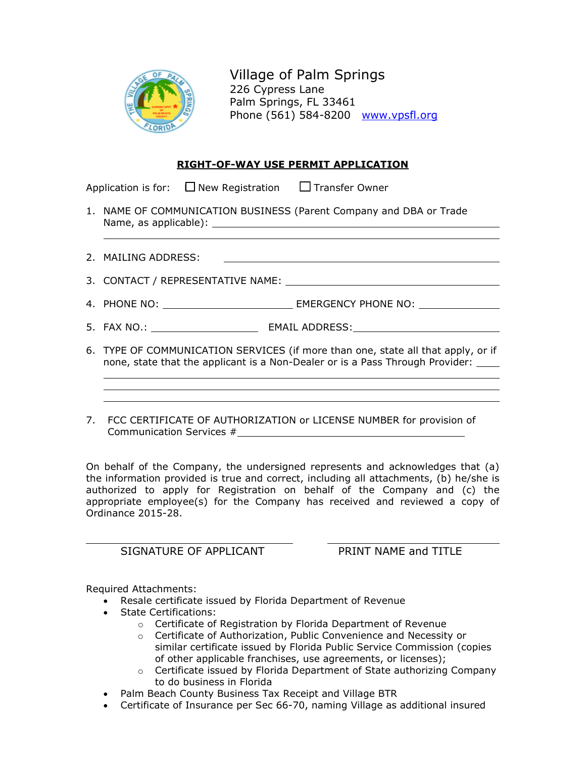

Village of Palm Springs 226 Cypress Lane Palm Springs, FL 33461 Phone (561) 584-8200 [www.vpsfl.org](http://www.villageofpalmsprings.org/)

### **RIGHT-OF-WAY USE PERMIT APPLICATION**

Application is for:  $\Box$  New Registration  $\Box$  Transfer Owner

- 1. NAME OF COMMUNICATION BUSINESS (Parent Company and DBA or Trade Name, as applicable):
- 2. MAILING ADDRESS:

3. CONTACT / REPRESENTATIVE NAME:

- 4. PHONE NO: EMERGENCY PHONE NO:
- 5. FAX NO.: EMAIL ADDRESS:
- 6. TYPE OF COMMUNICATION SERVICES (if more than one, state all that apply, or if none, state that the applicant is a Non-Dealer or is a Pass Through Provider:
- 7. FCC CERTIFICATE OF AUTHORIZATION or LICENSE NUMBER for provision of Communication Services #

On behalf of the Company, the undersigned represents and acknowledges that (a) the information provided is true and correct, including all attachments, (b) he/she is authorized to apply for Registration on behalf of the Company and (c) the appropriate employee(s) for the Company has received and reviewed a copy of Ordinance 2015-28.

SIGNATURE OF APPLICANT **EXAMPLE PRINT NAME and TITLE** 

Required Attachments:

- Resale certificate issued by Florida Department of Revenue
- State Certifications:
	- o Certificate of Registration by Florida Department of Revenue
		- o Certificate of Authorization, Public Convenience and Necessity or similar certificate issued by Florida Public Service Commission (copies of other applicable franchises, use agreements, or licenses);
		- $\circ$  Certificate issued by Florida Department of State authorizing Company to do business in Florida
- Palm Beach County Business Tax Receipt and Village BTR
- Certificate of Insurance per Sec 66-70, naming Village as additional insured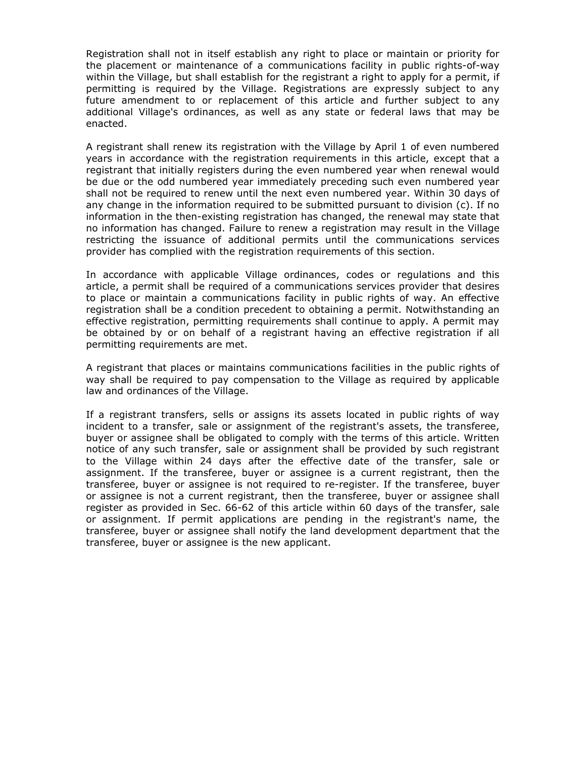Registration shall not in itself establish any right to place or maintain or priority for the placement or maintenance of a communications facility in public rights-of-way within the Village, but shall establish for the registrant a right to apply for a permit, if permitting is required by the Village. Registrations are expressly subject to any future amendment to or replacement of this article and further subject to any additional Village's ordinances, as well as any state or federal laws that may be enacted.

A registrant shall renew its registration with the Village by April 1 of even numbered years in accordance with the registration requirements in this article, except that a registrant that initially registers during the even numbered year when renewal would be due or the odd numbered year immediately preceding such even numbered year shall not be required to renew until the next even numbered year. Within 30 days of any change in the information required to be submitted pursuant to division (c). If no information in the then-existing registration has changed, the renewal may state that no information has changed. Failure to renew a registration may result in the Village restricting the issuance of additional permits until the communications services provider has complied with the registration requirements of this section.

In accordance with applicable Village ordinances, codes or regulations and this article, a permit shall be required of a communications services provider that desires to place or maintain a communications facility in public rights of way. An effective registration shall be a condition precedent to obtaining a permit. Notwithstanding an effective registration, permitting requirements shall continue to apply. A permit may be obtained by or on behalf of a registrant having an effective registration if all permitting requirements are met.

A registrant that places or maintains communications facilities in the public rights of way shall be required to pay compensation to the Village as required by applicable law and ordinances of the Village.

If a registrant transfers, sells or assigns its assets located in public rights of way incident to a transfer, sale or assignment of the registrant's assets, the transferee, buyer or assignee shall be obligated to comply with the terms of this article. Written notice of any such transfer, sale or assignment shall be provided by such registrant to the Village within 24 days after the effective date of the transfer, sale or assignment. If the transferee, buyer or assignee is a current registrant, then the transferee, buyer or assignee is not required to re-register. If the transferee, buyer or assignee is not a current registrant, then the transferee, buyer or assignee shall register as provided in Sec. 66-62 of this article within 60 days of the transfer, sale or assignment. If permit applications are pending in the registrant's name, the transferee, buyer or assignee shall notify the land development department that the transferee, buyer or assignee is the new applicant.